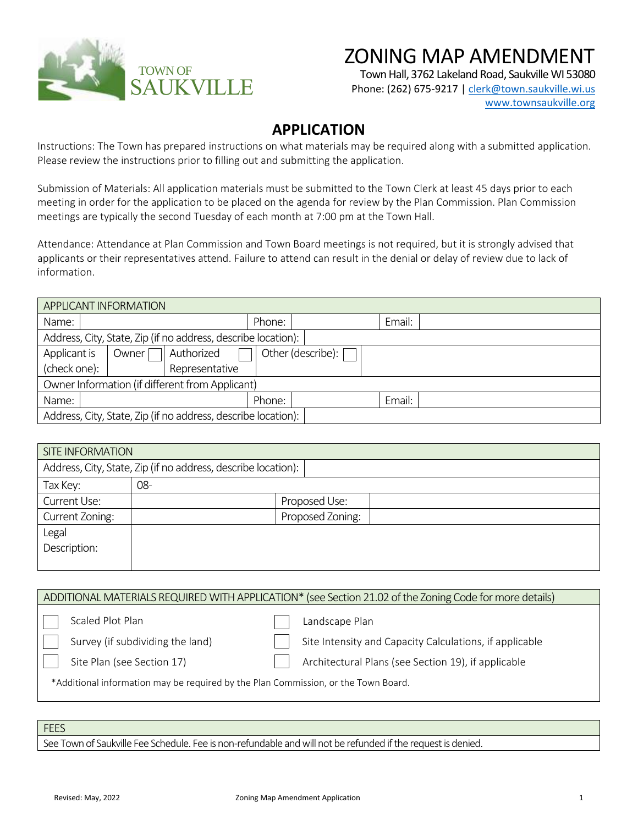

## ZONING MAP AMENDMENT

Town Hall, 3762 Lakeland Road, Saukville WI 53080

Phone: (262) 675-9217 [| clerk@town.saukville.wi.us](mailto:clerk@town.saukville.wi.us) [www.townsaukville.org](http://www.townsaukville.org/)

## **APPLICATION**

Instructions: The Town has prepared instructions on what materials may be required along with a submitted application. Please review the instructions prior to filling out and submitting the application.

Submission of Materials: All application materials must be submitted to the Town Clerk at least 45 days prior to each meeting in order for the application to be placed on the agenda for review by the Plan Commission. Plan Commission meetings are typically the second Tuesday of each month at 7:00 pm at the Town Hall.

Attendance: Attendance at Plan Commission and Town Board meetings is not required, but it is strongly advised that applicants or their representatives attend. Failure to attend can result in the denial or delay of review due to lack of information.

| APPLICANT INFORMATION                                         |                     |        |                     |        |  |
|---------------------------------------------------------------|---------------------|--------|---------------------|--------|--|
| Name:                                                         |                     | Phone: |                     | Email: |  |
| Address, City, State, Zip (if no address, describe location): |                     |        |                     |        |  |
| Applicant is                                                  | Authorized<br>Owner |        | Other (describe): [ |        |  |
| (check one):                                                  | Representative      |        |                     |        |  |
| Owner Information (if different from Applicant)               |                     |        |                     |        |  |
| Name:                                                         |                     | Phone: |                     | Email: |  |
| Address, City, State, Zip (if no address, describe location): |                     |        |                     |        |  |

| <b>SITE INFORMATION</b> |                                                               |                  |  |  |  |  |
|-------------------------|---------------------------------------------------------------|------------------|--|--|--|--|
|                         | Address, City, State, Zip (if no address, describe location): |                  |  |  |  |  |
| Tax Key:                | 08-                                                           |                  |  |  |  |  |
| Current Use:            |                                                               | Proposed Use:    |  |  |  |  |
| Current Zoning:         |                                                               | Proposed Zoning: |  |  |  |  |
| Legal                   |                                                               |                  |  |  |  |  |
| Description:            |                                                               |                  |  |  |  |  |
|                         |                                                               |                  |  |  |  |  |

|                                                                                    | ADDITIONAL MATERIALS REQUIRED WITH APPLICATION* (see Section 21.02 of the Zoning Code for more details) |  |  |  |  |
|------------------------------------------------------------------------------------|---------------------------------------------------------------------------------------------------------|--|--|--|--|
| Scaled Plot Plan                                                                   | Landscape Plan                                                                                          |  |  |  |  |
| Survey (if subdividing the land)                                                   | Site Intensity and Capacity Calculations, if applicable                                                 |  |  |  |  |
| Site Plan (see Section 17)                                                         | Architectural Plans (see Section 19), if applicable                                                     |  |  |  |  |
| *Additional information may be required by the Plan Commission, or the Town Board. |                                                                                                         |  |  |  |  |
|                                                                                    |                                                                                                         |  |  |  |  |
| FEES                                                                               |                                                                                                         |  |  |  |  |

See Town of Saukville Fee Schedule. Fee is non-refundable and will not be refunded if the request is denied.